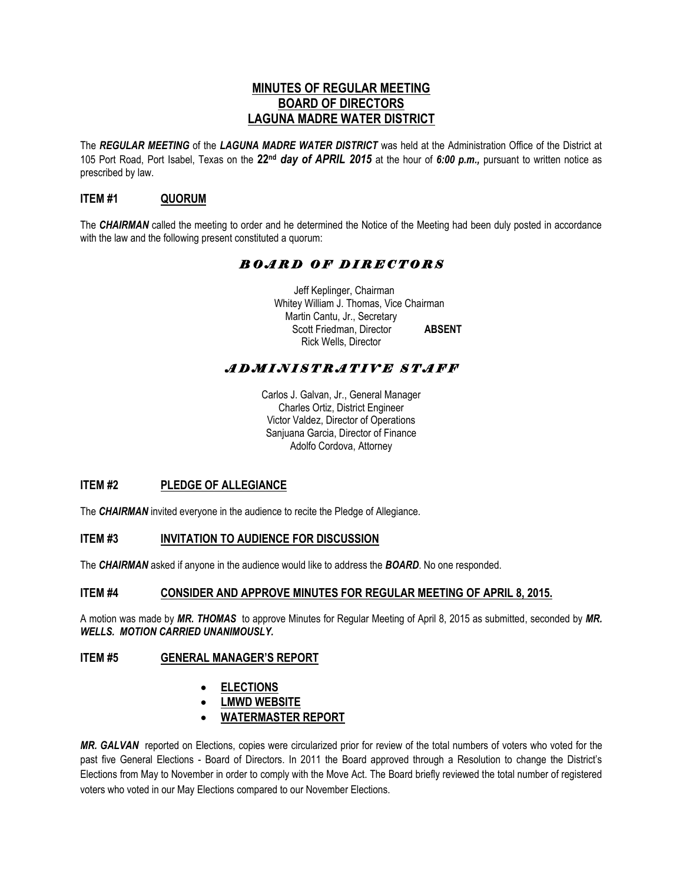## **MINUTES OF REGULAR MEETING BOARD OF DIRECTORS LAGUNA MADRE WATER DISTRICT**

The *REGULAR MEETING* of the *LAGUNA MADRE WATER DISTRICT* was held at the Administration Office of the District at 105 Port Road, Port Isabel, Texas on the **22nd** *day of APRIL 2015* at the hour of *6:00 p.m.,* pursuant to written notice as prescribed by law.

## **ITEM #1 QUORUM**

The *CHAIRMAN* called the meeting to order and he determined the Notice of the Meeting had been duly posted in accordance with the law and the following present constituted a quorum:

## *B O A R D O F D I R E C T O R S*

 Jeff Keplinger, Chairman Whitey William J. Thomas, Vice Chairman Martin Cantu, Jr., Secretary Scott Friedman, Director **ABSENT** Rick Wells, Director

# *A D M I N I S T R A T I V E S T A F F*

Carlos J. Galvan, Jr., General Manager Charles Ortiz, District Engineer Victor Valdez, Director of Operations Sanjuana Garcia, Director of Finance Adolfo Cordova, Attorney

## **ITEM #2 PLEDGE OF ALLEGIANCE**

The *CHAIRMAN* invited everyone in the audience to recite the Pledge of Allegiance.

## **ITEM #3 INVITATION TO AUDIENCE FOR DISCUSSION**

The *CHAIRMAN* asked if anyone in the audience would like to address the *BOARD*. No one responded.

## **ITEM #4 CONSIDER AND APPROVE MINUTES FOR REGULAR MEETING OF APRIL 8, 2015.**

A motion was made by *MR. THOMAS* to approve Minutes for Regular Meeting of April 8, 2015 as submitted, seconded by *MR. WELLS. MOTION CARRIED UNANIMOUSLY.* 

## **ITEM #5 GENERAL MANAGER'S REPORT**

- **ELECTIONS**
- **LMWD WEBSITE**
- **WATERMASTER REPORT**

*MR. GALVAN* reported on Elections, copies were circularized prior for review of the total numbers of voters who voted for the past five General Elections - Board of Directors. In 2011 the Board approved through a Resolution to change the District's Elections from May to November in order to comply with the Move Act. The Board briefly reviewed the total number of registered voters who voted in our May Elections compared to our November Elections.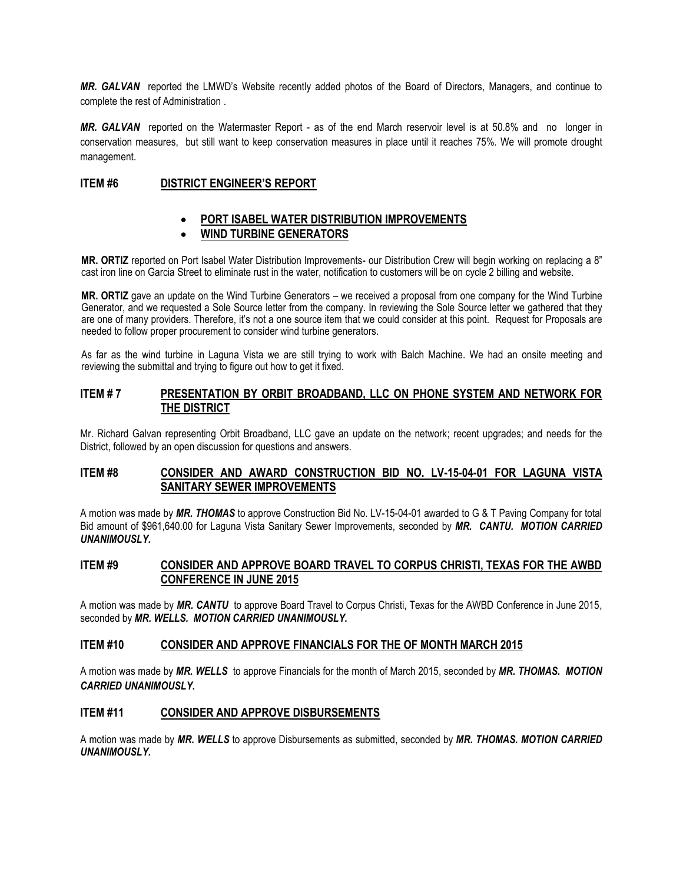*MR. GALVAN* reported the LMWD's Website recently added photos of the Board of Directors, Managers, and continue to complete the rest of Administration .

*MR. GALVAN* reported on the Watermaster Report - as of the end March reservoir level is at 50.8% and no longer in conservation measures, but still want to keep conservation measures in place until it reaches 75%. We will promote drought management.

#### **ITEM #6 DISTRICT ENGINEER'S REPORT**

#### **PORT ISABEL WATER DISTRIBUTION IMPROVEMENTS**

#### **WIND TURBINE GENERATORS**

**MR. ORTIZ** reported on Port Isabel Water Distribution Improvements- our Distribution Crew will begin working on replacing a 8" cast iron line on Garcia Street to eliminate rust in the water, notification to customers will be on cycle 2 billing and website.

**MR. ORTIZ** gave an update on the Wind Turbine Generators – we received a proposal from one company for the Wind Turbine Generator, and we requested a Sole Source letter from the company. In reviewing the Sole Source letter we gathered that they are one of many providers. Therefore, it's not a one source item that we could consider at this point. Request for Proposals are needed to follow proper procurement to consider wind turbine generators.

As far as the wind turbine in Laguna Vista we are still trying to work with Balch Machine. We had an onsite meeting and reviewing the submittal and trying to figure out how to get it fixed.

#### **ITEM # 7 PRESENTATION BY ORBIT BROADBAND, LLC ON PHONE SYSTEM AND NETWORK FOR THE DISTRICT**

Mr. Richard Galvan representing Orbit Broadband, LLC gave an update on the network; recent upgrades; and needs for the District, followed by an open discussion for questions and answers.

#### **ITEM #8 CONSIDER AND AWARD CONSTRUCTION BID NO. LV-15-04-01 FOR LAGUNA VISTA SANITARY SEWER IMPROVEMENTS**

A motion was made by *MR. THOMAS* to approve Construction Bid No. LV-15-04-01 awarded to G & T Paving Company for total Bid amount of \$961,640.00 for Laguna Vista Sanitary Sewer Improvements, seconded by *MR. CANTU. MOTION CARRIED UNANIMOUSLY.* 

## **ITEM #9 CONSIDER AND APPROVE BOARD TRAVEL TO CORPUS CHRISTI, TEXAS FOR THE AWBD CONFERENCE IN JUNE 2015**

A motion was made by *MR. CANTU* to approve Board Travel to Corpus Christi, Texas for the AWBD Conference in June 2015, seconded by *MR. WELLS. MOTION CARRIED UNANIMOUSLY.* 

#### **ITEM #10 CONSIDER AND APPROVE FINANCIALS FOR THE OF MONTH MARCH 2015**

A motion was made by *MR. WELLS* to approve Financials for the month of March 2015, seconded by *MR. THOMAS. MOTION CARRIED UNANIMOUSLY.* 

#### **ITEM #11 CONSIDER AND APPROVE DISBURSEMENTS**

A motion was made by *MR. WELLS* to approve Disbursements as submitted, seconded by *MR. THOMAS. MOTION CARRIED UNANIMOUSLY.*